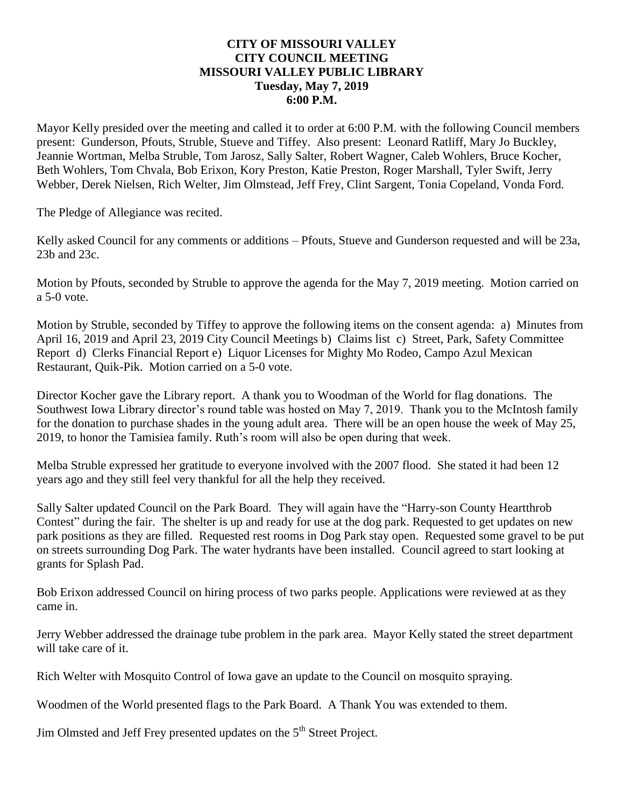### **CITY OF MISSOURI VALLEY CITY COUNCIL MEETING MISSOURI VALLEY PUBLIC LIBRARY Tuesday, May 7, 2019 6:00 P.M.**

Mayor Kelly presided over the meeting and called it to order at 6:00 P.M. with the following Council members present: Gunderson, Pfouts, Struble, Stueve and Tiffey. Also present: Leonard Ratliff, Mary Jo Buckley, Jeannie Wortman, Melba Struble, Tom Jarosz, Sally Salter, Robert Wagner, Caleb Wohlers, Bruce Kocher, Beth Wohlers, Tom Chvala, Bob Erixon, Kory Preston, Katie Preston, Roger Marshall, Tyler Swift, Jerry Webber, Derek Nielsen, Rich Welter, Jim Olmstead, Jeff Frey, Clint Sargent, Tonia Copeland, Vonda Ford.

The Pledge of Allegiance was recited.

Kelly asked Council for any comments or additions – Pfouts, Stueve and Gunderson requested and will be 23a, 23b and 23c.

Motion by Pfouts, seconded by Struble to approve the agenda for the May 7, 2019 meeting. Motion carried on a 5-0 vote.

Motion by Struble, seconded by Tiffey to approve the following items on the consent agenda: a) Minutes from April 16, 2019 and April 23, 2019 City Council Meetings b) Claims list c) Street, Park, Safety Committee Report d) Clerks Financial Report e) Liquor Licenses for Mighty Mo Rodeo, Campo Azul Mexican Restaurant, Quik-Pik. Motion carried on a 5-0 vote.

Director Kocher gave the Library report. A thank you to Woodman of the World for flag donations. The Southwest Iowa Library director's round table was hosted on May 7, 2019. Thank you to the McIntosh family for the donation to purchase shades in the young adult area. There will be an open house the week of May 25, 2019, to honor the Tamisiea family. Ruth's room will also be open during that week.

Melba Struble expressed her gratitude to everyone involved with the 2007 flood. She stated it had been 12 years ago and they still feel very thankful for all the help they received.

Sally Salter updated Council on the Park Board. They will again have the "Harry-son County Heartthrob Contest" during the fair. The shelter is up and ready for use at the dog park. Requested to get updates on new park positions as they are filled. Requested rest rooms in Dog Park stay open. Requested some gravel to be put on streets surrounding Dog Park. The water hydrants have been installed. Council agreed to start looking at grants for Splash Pad.

Bob Erixon addressed Council on hiring process of two parks people. Applications were reviewed at as they came in.

Jerry Webber addressed the drainage tube problem in the park area. Mayor Kelly stated the street department will take care of it.

Rich Welter with Mosquito Control of Iowa gave an update to the Council on mosquito spraying.

Woodmen of the World presented flags to the Park Board. A Thank You was extended to them.

Jim Olmsted and Jeff Frey presented updates on the 5<sup>th</sup> Street Project.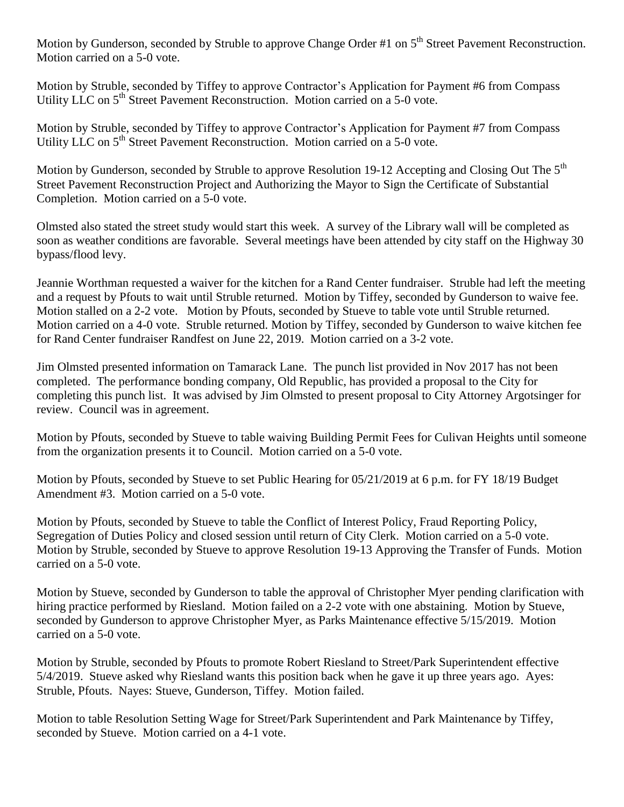Motion by Gunderson, seconded by Struble to approve Change Order #1 on 5<sup>th</sup> Street Pavement Reconstruction. Motion carried on a 5-0 vote.

Motion by Struble, seconded by Tiffey to approve Contractor's Application for Payment #6 from Compass Utility LLC on 5<sup>th</sup> Street Pavement Reconstruction. Motion carried on a 5-0 vote.

Motion by Struble, seconded by Tiffey to approve Contractor's Application for Payment #7 from Compass Utility LLC on 5<sup>th</sup> Street Pavement Reconstruction. Motion carried on a 5-0 vote.

Motion by Gunderson, seconded by Struble to approve Resolution 19-12 Accepting and Closing Out The 5<sup>th</sup> Street Pavement Reconstruction Project and Authorizing the Mayor to Sign the Certificate of Substantial Completion. Motion carried on a 5-0 vote.

Olmsted also stated the street study would start this week. A survey of the Library wall will be completed as soon as weather conditions are favorable. Several meetings have been attended by city staff on the Highway 30 bypass/flood levy.

Jeannie Worthman requested a waiver for the kitchen for a Rand Center fundraiser. Struble had left the meeting and a request by Pfouts to wait until Struble returned. Motion by Tiffey, seconded by Gunderson to waive fee. Motion stalled on a 2-2 vote. Motion by Pfouts, seconded by Stueve to table vote until Struble returned. Motion carried on a 4-0 vote. Struble returned. Motion by Tiffey, seconded by Gunderson to waive kitchen fee for Rand Center fundraiser Randfest on June 22, 2019. Motion carried on a 3-2 vote.

Jim Olmsted presented information on Tamarack Lane. The punch list provided in Nov 2017 has not been completed. The performance bonding company, Old Republic, has provided a proposal to the City for completing this punch list. It was advised by Jim Olmsted to present proposal to City Attorney Argotsinger for review. Council was in agreement.

Motion by Pfouts, seconded by Stueve to table waiving Building Permit Fees for Culivan Heights until someone from the organization presents it to Council. Motion carried on a 5-0 vote.

Motion by Pfouts, seconded by Stueve to set Public Hearing for 05/21/2019 at 6 p.m. for FY 18/19 Budget Amendment #3. Motion carried on a 5-0 vote.

Motion by Pfouts, seconded by Stueve to table the Conflict of Interest Policy, Fraud Reporting Policy, Segregation of Duties Policy and closed session until return of City Clerk. Motion carried on a 5-0 vote. Motion by Struble, seconded by Stueve to approve Resolution 19-13 Approving the Transfer of Funds. Motion carried on a 5-0 vote.

Motion by Stueve, seconded by Gunderson to table the approval of Christopher Myer pending clarification with hiring practice performed by Riesland. Motion failed on a 2-2 vote with one abstaining. Motion by Stueve, seconded by Gunderson to approve Christopher Myer, as Parks Maintenance effective 5/15/2019. Motion carried on a 5-0 vote.

Motion by Struble, seconded by Pfouts to promote Robert Riesland to Street/Park Superintendent effective 5/4/2019. Stueve asked why Riesland wants this position back when he gave it up three years ago. Ayes: Struble, Pfouts. Nayes: Stueve, Gunderson, Tiffey. Motion failed.

Motion to table Resolution Setting Wage for Street/Park Superintendent and Park Maintenance by Tiffey, seconded by Stueve. Motion carried on a 4-1 vote.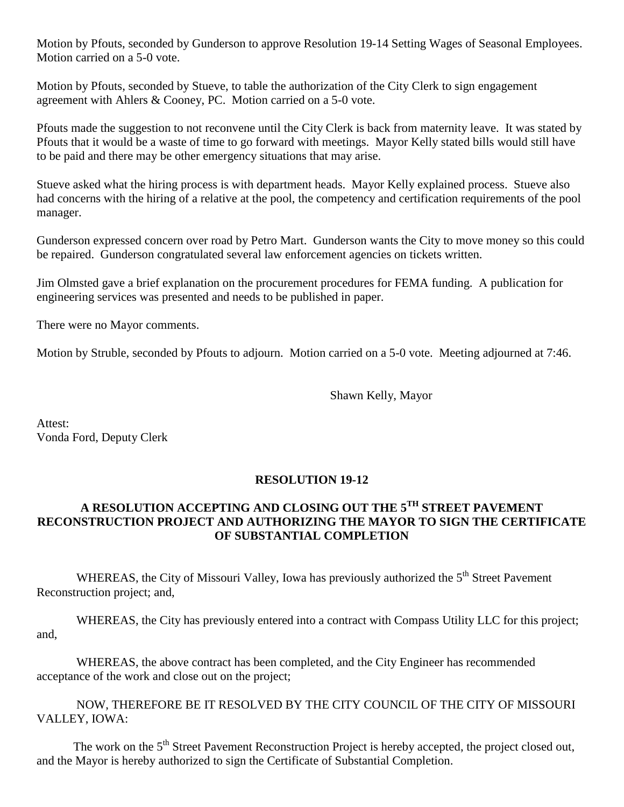Motion by Pfouts, seconded by Gunderson to approve Resolution 19-14 Setting Wages of Seasonal Employees. Motion carried on a 5-0 vote.

Motion by Pfouts, seconded by Stueve, to table the authorization of the City Clerk to sign engagement agreement with Ahlers & Cooney, PC. Motion carried on a 5-0 vote.

Pfouts made the suggestion to not reconvene until the City Clerk is back from maternity leave. It was stated by Pfouts that it would be a waste of time to go forward with meetings. Mayor Kelly stated bills would still have to be paid and there may be other emergency situations that may arise.

Stueve asked what the hiring process is with department heads. Mayor Kelly explained process. Stueve also had concerns with the hiring of a relative at the pool, the competency and certification requirements of the pool manager.

Gunderson expressed concern over road by Petro Mart. Gunderson wants the City to move money so this could be repaired. Gunderson congratulated several law enforcement agencies on tickets written.

Jim Olmsted gave a brief explanation on the procurement procedures for FEMA funding. A publication for engineering services was presented and needs to be published in paper.

There were no Mayor comments.

Motion by Struble, seconded by Pfouts to adjourn. Motion carried on a 5-0 vote. Meeting adjourned at 7:46.

Shawn Kelly, Mayor

Attest: Vonda Ford, Deputy Clerk

### **RESOLUTION 19-12**

## **A RESOLUTION ACCEPTING AND CLOSING OUT THE 5TH STREET PAVEMENT RECONSTRUCTION PROJECT AND AUTHORIZING THE MAYOR TO SIGN THE CERTIFICATE OF SUBSTANTIAL COMPLETION**

WHEREAS, the City of Missouri Valley, Iowa has previously authorized the 5<sup>th</sup> Street Pavement Reconstruction project; and,

WHEREAS, the City has previously entered into a contract with Compass Utility LLC for this project; and,

WHEREAS, the above contract has been completed, and the City Engineer has recommended acceptance of the work and close out on the project;

NOW, THEREFORE BE IT RESOLVED BY THE CITY COUNCIL OF THE CITY OF MISSOURI VALLEY, IOWA:

The work on the 5<sup>th</sup> Street Pavement Reconstruction Project is hereby accepted, the project closed out, and the Mayor is hereby authorized to sign the Certificate of Substantial Completion.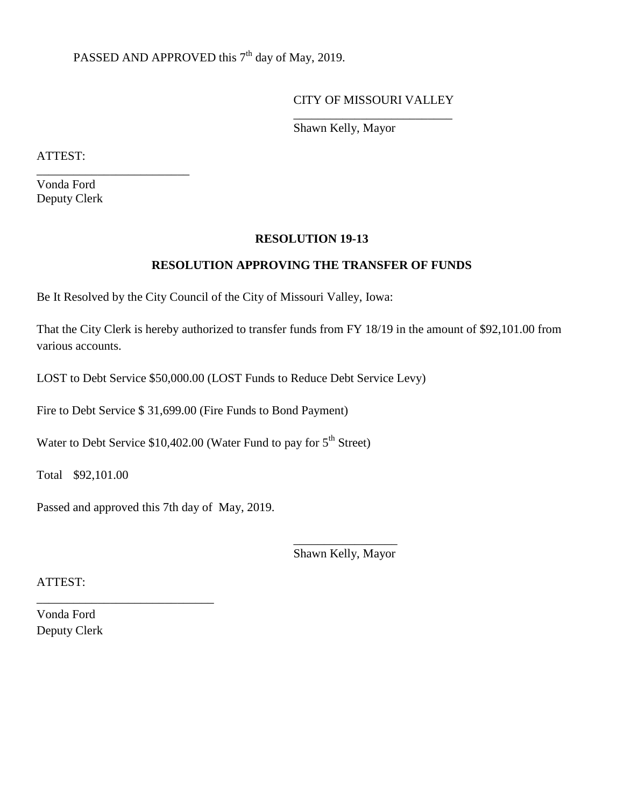# PASSED AND APPROVED this 7<sup>th</sup> day of May, 2019.

#### CITY OF MISSOURI VALLEY \_\_\_\_\_\_\_\_\_\_\_\_\_\_\_\_\_\_\_\_\_\_\_\_\_\_

Shawn Kelly, Mayor

ATTEST:

Vonda Ford Deputy Clerk

\_\_\_\_\_\_\_\_\_\_\_\_\_\_\_\_\_\_\_\_\_\_\_\_\_

#### **RESOLUTION 19-13**

#### **RESOLUTION APPROVING THE TRANSFER OF FUNDS**

Be It Resolved by the City Council of the City of Missouri Valley, Iowa:

That the City Clerk is hereby authorized to transfer funds from FY 18/19 in the amount of \$92,101.00 from various accounts.

LOST to Debt Service \$50,000.00 (LOST Funds to Reduce Debt Service Levy)

Fire to Debt Service \$ 31,699.00 (Fire Funds to Bond Payment)

Water to Debt Service  $$10,402.00$  (Water Fund to pay for  $5<sup>th</sup>$  Street)

Total \$92,101.00

Passed and approved this 7th day of May, 2019.

\_\_\_\_\_\_\_\_\_\_\_\_\_\_\_\_\_\_\_\_\_\_\_\_\_\_\_\_\_

\_\_\_\_\_\_\_\_\_\_\_\_\_\_\_\_\_ Shawn Kelly, Mayor

ATTEST:

Vonda Ford Deputy Clerk